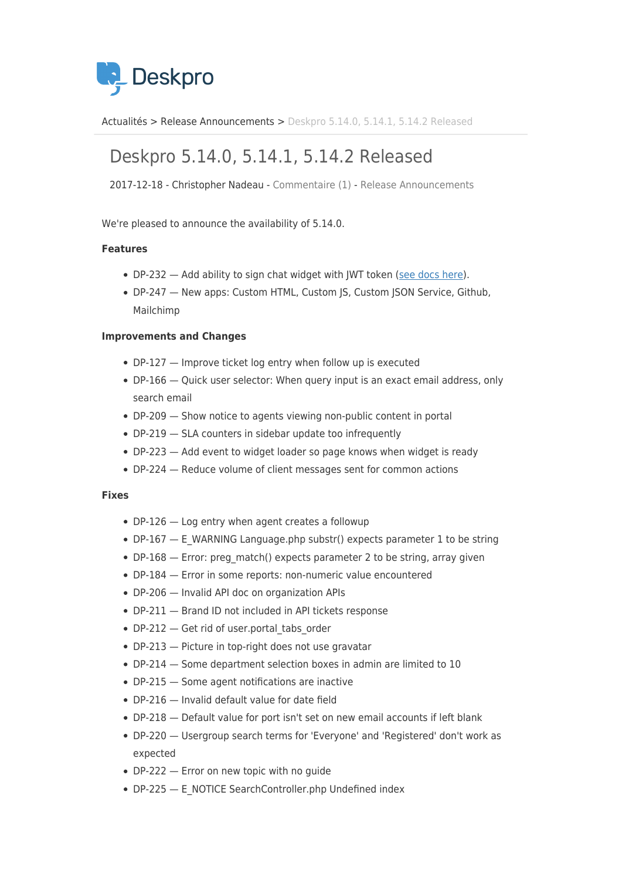

[Actualités](https://support.deskpro.com/fr/news) > [Release Announcements](https://support.deskpro.com/fr/news/release-announcements) > [Deskpro 5.14.0, 5.14.1, 5.14.2 Released](https://support.deskpro.com/fr/news/posts/deskpro-5-14-0-5-14-1-5-14-2-released)

# Deskpro 5.14.0, 5.14.1, 5.14.2 Released

2017-12-18 - Christopher Nadeau - [Commentaire \(1\)](#page--1-0) - [Release Announcements](https://support.deskpro.com/fr/news/release-announcements)

We're pleased to announce the availability of 5.14.0.

#### **Features**

- DP-232 Add ability to sign chat widget with JWT token [\(see docs here](https://support.deskpro.com/en/guides/admin-guide/website-embeds/chat-embed)).
- DP-247 New apps: Custom HTML, Custom JS, Custom JSON Service, Github, Mailchimp

### **Improvements and Changes**

- DP-127 Improve ticket log entry when follow up is executed
- DP-166 Quick user selector: When query input is an exact email address, only search email
- DP-209 Show notice to agents viewing non-public content in portal
- DP-219 SLA counters in sidebar update too infrequently
- DP-223 Add event to widget loader so page knows when widget is ready
- DP-224 Reduce volume of client messages sent for common actions

#### **Fixes**

- DP-126 Log entry when agent creates a followup
- DP-167 E\_WARNING Language.php substr() expects parameter 1 to be string
- DP-168 Error: preg\_match() expects parameter 2 to be string, array given
- DP-184 Error in some reports: non-numeric value encountered
- DP-206 Invalid API doc on organization APIs
- DP-211 Brand ID not included in API tickets response
- DP-212 Get rid of user portal tabs order
- DP-213 Picture in top-right does not use gravatar
- DP-214 Some department selection boxes in admin are limited to 10
- DP-215 Some agent notifications are inactive
- DP-216 Invalid default value for date field
- DP-218 Default value for port isn't set on new email accounts if left blank
- DP-220 Usergroup search terms for 'Everyone' and 'Registered' don't work as expected
- DP-222 Error on new topic with no guide
- DP-225 E\_NOTICE SearchController.php Undefined index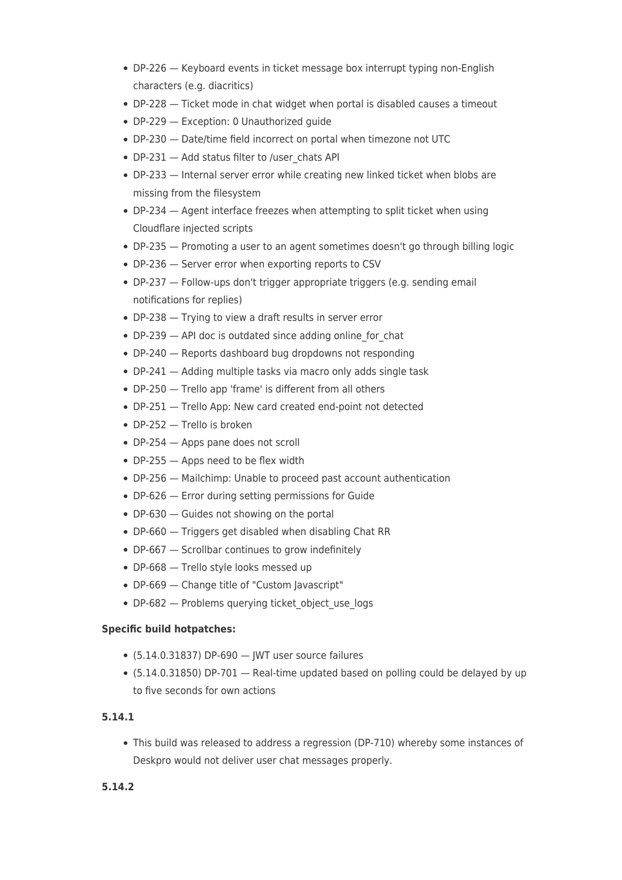- DP-226 Keyboard events in ticket message box interrupt typing non-English characters (e.g. diacritics)
- DP-228 Ticket mode in chat widget when portal is disabled causes a timeout
- DP-229 Exception: 0 Unauthorized guide
- DP-230 Date/time field incorrect on portal when timezone not UTC
- DP-231 Add status filter to /user\_chats API
- DP-233 Internal server error while creating new linked ticket when blobs are missing from the filesystem
- DP-234 Agent interface freezes when attempting to split ticket when using Cloudflare injected scripts
- DP-235 Promoting a user to an agent sometimes doesn't go through billing logic
- DP-236 Server error when exporting reports to CSV
- DP-237 Follow-ups don't trigger appropriate triggers (e.g. sending email notifications for replies)
- DP-238 Trying to view a draft results in server error
- DP-239 API doc is outdated since adding online for chat
- DP-240 Reports dashboard bug dropdowns not responding
- DP-241 Adding multiple tasks via macro only adds single task
- DP-250 Trello app 'frame' is different from all others
- DP-251 Trello App: New card created end-point not detected
- DP-252 Trello is broken
- DP-254 Apps pane does not scroll
- DP-255 Apps need to be flex width
- DP-256 Mailchimp: Unable to proceed past account authentication
- DP-626 Error during setting permissions for Guide
- DP-630 Guides not showing on the portal
- DP-660 Triggers get disabled when disabling Chat RR
- DP-667 Scrollbar continues to grow indefinitely
- DP-668 Trello style looks messed up
- DP-669 Change title of "Custom Javascript"
- DP-682 Problems querying ticket object use logs

## **Specific build hotpatches:**

- $\bullet$  (5.14.0.31837) DP-690  $-$  JWT user source failures
- (5.14.0.31850) DP-701 Real-time updated based on polling could be delayed by up to five seconds for own actions

## **5.14.1**

This build was released to address a regression (DP-710) whereby some instances of Deskpro would not deliver user chat messages properly.

## **5.14.2**